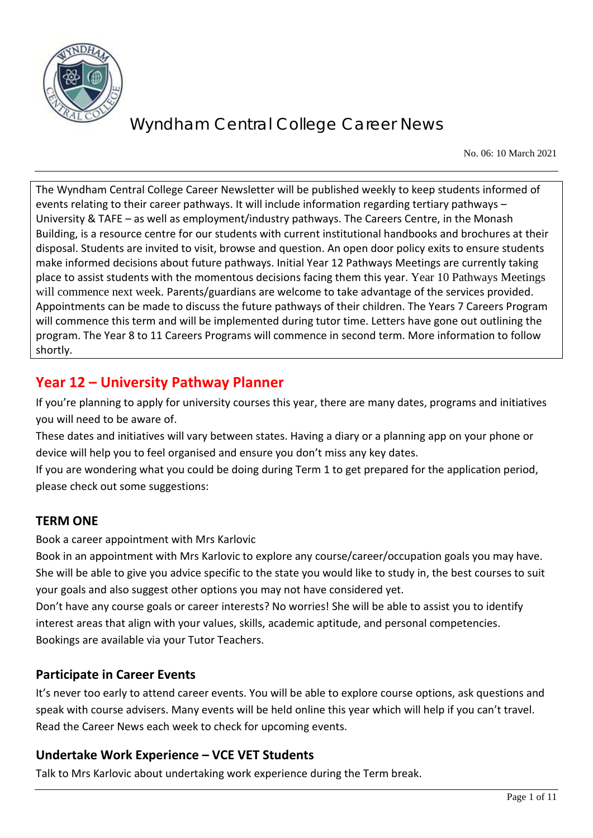

No. 06: 10 March 2021

The Wyndham Central College Career Newsletter will be published weekly to keep students informed of events relating to their career pathways. It will include information regarding tertiary pathways – University & TAFE – as well as employment/industry pathways. The Careers Centre, in the Monash Building, is a resource centre for our students with current institutional handbooks and brochures at their disposal. Students are invited to visit, browse and question. An open door policy exits to ensure students make informed decisions about future pathways. Initial Year 12 Pathways Meetings are currently taking place to assist students with the momentous decisions facing them this year. Year 10 Pathways Meetings will commence next week. Parents/guardians are welcome to take advantage of the services provided. Appointments can be made to discuss the future pathways of their children. The Years 7 Careers Program will commence this term and will be implemented during tutor time. Letters have gone out outlining the program. The Year 8 to 11 Careers Programs will commence in second term. More information to follow shortly.

## **Year 12 – University Pathway Planner**

If you're planning to apply for university courses this year, there are many dates, programs and initiatives you will need to be aware of.

These dates and initiatives will vary between states. Having a diary or a planning app on your phone or device will help you to feel organised and ensure you don't miss any key dates.

If you are wondering what you could be doing during Term 1 to get prepared for the application period, please check out some suggestions:

## **TERM ONE**

Book a career appointment with Mrs Karlovic

Book in an appointment with Mrs Karlovic to explore any course/career/occupation goals you may have. She will be able to give you advice specific to the state you would like to study in, the best courses to suit your goals and also suggest other options you may not have considered yet.

Don't have any course goals or career interests? No worries! She will be able to assist you to identify interest areas that align with your values, skills, academic aptitude, and personal competencies. Bookings are available via your Tutor Teachers.

## **Participate in Career Events**

It's never too early to attend career events. You will be able to explore course options, ask questions and speak with course advisers. Many events will be held online this year which will help if you can't travel. Read the Career News each week to check for upcoming events.

## **Undertake Work Experience – VCE VET Students**

Talk to Mrs Karlovic about undertaking work experience during the Term break.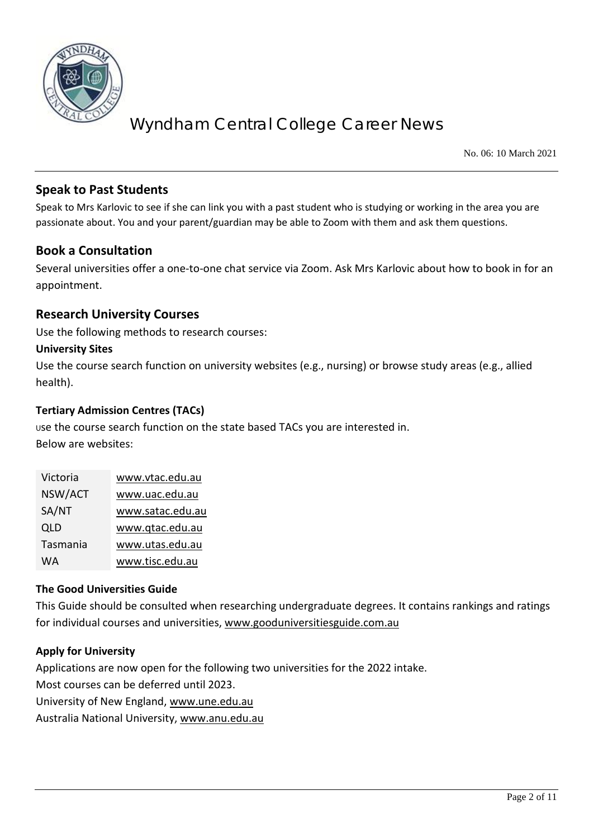

No. 06: 10 March 2021

### **Speak to Past Students**

Speak to Mrs Karlovic to see if she can link you with a past student who is studying or working in the area you are passionate about. You and your parent/guardian may be able to Zoom with them and ask them questions.

#### **Book a Consultation**

Several universities offer a one-to-one chat service via Zoom. Ask Mrs Karlovic about how to book in for an appointment.

#### **Research University Courses**

Use the following methods to research courses:

#### **University Sites**

Use the course search function on university websites (e.g., nursing) or browse study areas (e.g., allied health).

#### **Tertiary Admission Centres (TACs)**

<sup>U</sup>se the course search function on the state based TACs you are interested in. Below are websites:

| Victoria | www.vtac.edu.au  |
|----------|------------------|
| NSW/ACT  | www.uac.edu.au   |
| SA/NT    | www.satac.edu.au |
| QLD      | www.qtac.edu.au  |
| Tasmania | www.utas.edu.au  |
| WA       | www.tisc.edu.au  |

#### **The Good Universities Guide**

This Guide should be consulted when researching undergraduate degrees. It contains rankings and ratings for individual courses and universities, [www.gooduniversitiesguide.com.au](http://www.gooduniversitiesguide.com.au/)

#### **Apply for University**

Applications are now open for the following two universities for the 2022 intake.

Most courses can be deferred until 2023.

University of New England, [www.une.edu.au](http://www.une.edu.au/)

Australia National University, [www.anu.edu.au](http://www.anu.edu.au/)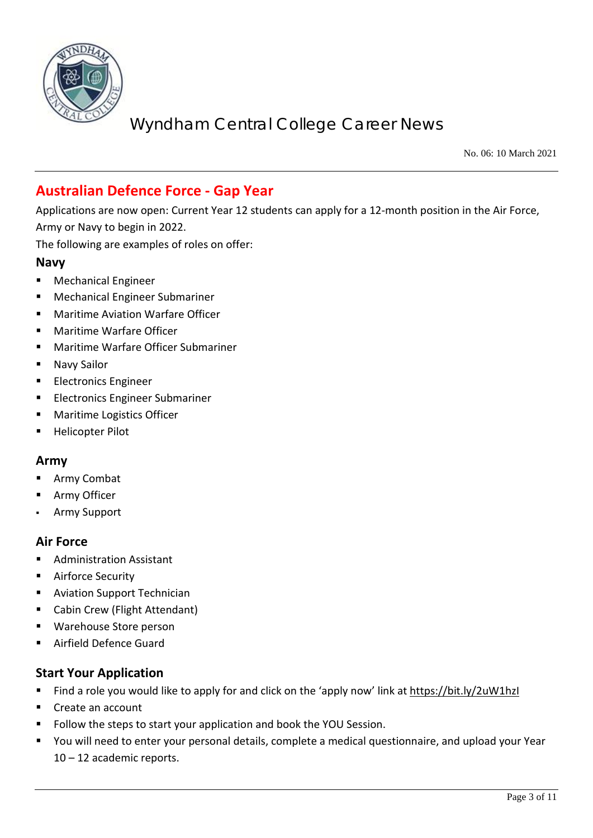

No. 06: 10 March 2021

## **Australian Defence Force - Gap Year**

Applications are now open: Current Year 12 students can apply for a 12-month position in the Air Force, Army or Navy to begin in 2022.

The following are examples of roles on offer:

#### **Navy**

- **Mechanical Engineer**
- Mechanical Engineer Submariner
- Maritime Aviation Warfare Officer
- Maritime Warfare Officer
- Maritime Warfare Officer Submariner
- Navy Sailor
- Electronics Engineer
- **Electronics Engineer Submariner**
- Maritime Logistics Officer
- Helicopter Pilot

#### **Army**

- Army Combat
- Army Officer
- Army Support

#### **Air Force**

- Administration Assistant
- **Airforce Security**
- **Aviation Support Technician**
- Cabin Crew (Flight Attendant)
- Warehouse Store person
- Airfield Defence Guard

#### **Start Your Application**

- Find a role you would like to apply for and click on the 'apply now' link at<https://bit.ly/2uW1hzI>
- Create an account
- Follow the steps to start your application and book the YOU Session.
- You will need to enter your personal details, complete a medical questionnaire, and upload your Year 10 – 12 academic reports.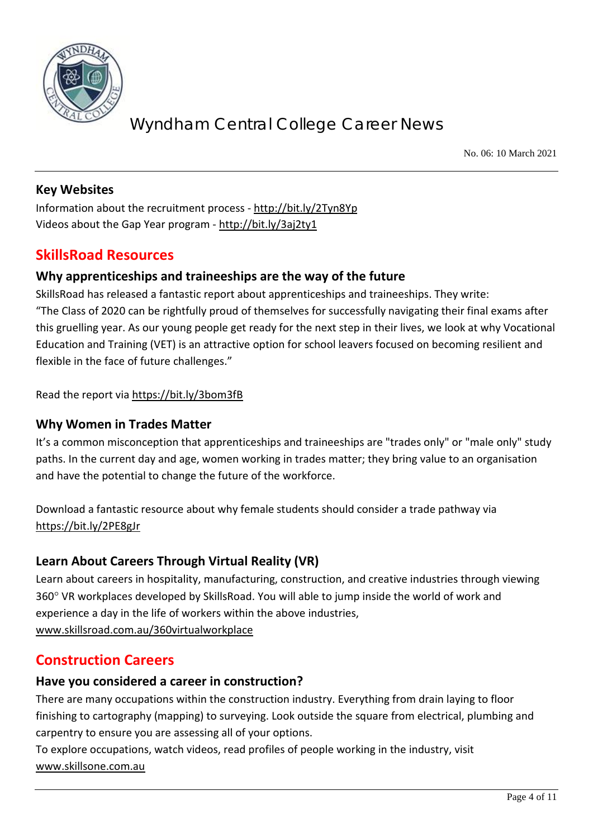

No. 06: 10 March 2021

## **Key Websites**

Information about the recruitment process - <http://bit.ly/2Tyn8Yp> Videos about the Gap Year program - <http://bit.ly/3aj2ty1>

## **SkillsRoad Resources**

## **Why apprenticeships and traineeships are the way of the future**

SkillsRoad has released a fantastic report about apprenticeships and traineeships. They write: "The Class of 2020 can be rightfully proud of themselves for successfully navigating their final exams after this gruelling year. As our young people get ready for the next step in their lives, we look at why Vocational Education and Training (VET) is an attractive option for school leavers focused on becoming resilient and flexible in the face of future challenges."

Read the report via<https://bit.ly/3bom3fB>

#### **Why Women in Trades Matter**

It's a common misconception that apprenticeships and traineeships are "trades only" or "male only" study paths. In the current day and age, women working in trades matter; they bring value to an organisation and have the potential to change the future of the workforce.

Download a fantastic resource about why female students should consider a trade pathway via <https://bit.ly/2PE8gJr>

## **Learn About Careers Through Virtual Reality (VR)**

Learn about careers in hospitality, manufacturing, construction, and creative industries through viewing 360° VR workplaces developed by SkillsRoad. You will able to jump inside the world of work and experience a day in the life of workers within the above industries, [www.skillsroad.com.au/360virtualworkplace](http://www.skillsroad.com.au/360virtualworkplace)

## **Construction Careers**

#### **Have you considered a career in construction?**

There are many occupations within the construction industry. Everything from drain laying to floor finishing to cartography (mapping) to surveying. Look outside the square from electrical, plumbing and carpentry to ensure you are assessing all of your options.

To explore occupations, watch videos, read profiles of people working in the industry, visit [www.skillsone.com.au](http://www.skillsone.com.au/)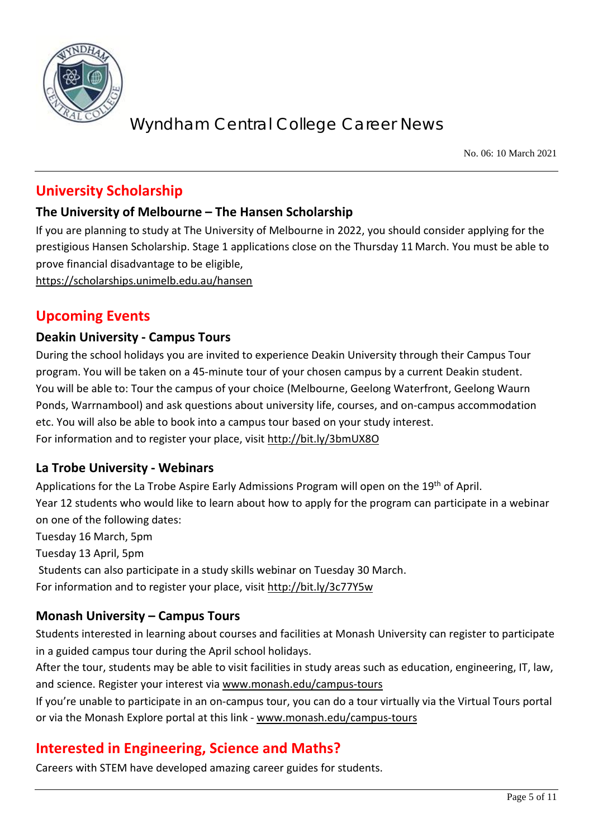

No. 06: 10 March 2021

## **University Scholarship**

## **The University of Melbourne – The Hansen Scholarship**

If you are planning to study at The University of Melbourne in 2022, you should consider applying for the prestigious Hansen Scholarship. Stage 1 applications close on the Thursday 11 March. You must be able to prove financial disadvantage to be eligible,

<https://scholarships.unimelb.edu.au/hansen>

## **Upcoming Events**

### **Deakin University - Campus Tours**

During the school holidays you are invited to experience Deakin University through their Campus Tour program. You will be taken on a 45-minute tour of your chosen campus by a current Deakin student. You will be able to: Tour the campus of your choice (Melbourne, Geelong Waterfront, Geelong Waurn Ponds, Warrnambool) and ask questions about university life, courses, and on-campus accommodation etc. You will also be able to book into a campus tour based on your study interest. For information and to register your place, visit<http://bit.ly/3bmUX8O>

#### **La Trobe University - Webinars**

Applications for the La Trobe Aspire Early Admissions Program will open on the 19<sup>th</sup> of April. Year 12 students who would like to learn about how to apply for the program can participate in a webinar on one of the following dates: Tuesday 16 March, 5pm Tuesday 13 April, 5pm Students can also participate in a study skills webinar on Tuesday 30 March.

For information and to register your place, visit<http://bit.ly/3c77Y5w>

## **Monash University – Campus Tours**

Students interested in learning about courses and facilities at Monash University can register to participate in a guided campus tour during the April school holidays.

After the tour, students may be able to visit facilities in study areas such as education, engineering, IT, law, and science. Register your interest via [www.monash.edu/campus-tours](http://www.monash.edu/campus-tours)

If you're unable to participate in an on-campus tour, you can do a tour virtually via the Virtual Tours portal or via the Monash Explore portal at this link - [www.monash.edu/campus-tours](http://www.monash.edu/campus-tours)

## **Interested in Engineering, Science and Maths?**

Careers with STEM have developed amazing career guides for students.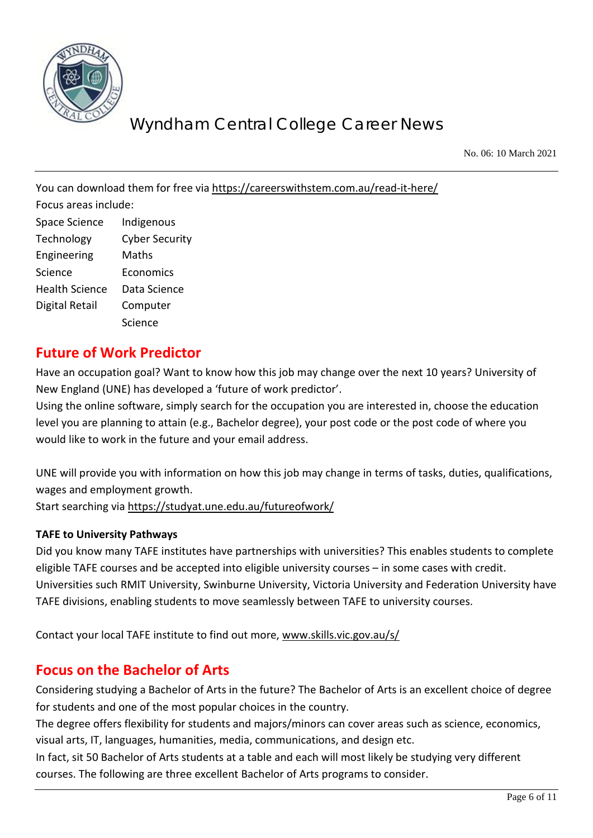

No. 06: 10 March 2021

You can download them for free via<https://careerswithstem.com.au/read-it-here/> Focus areas include: Space Science Indigenous Technology Cyber Security Engineering Maths Science Economics Health Science Data Science Digital Retail Computer Science

## **Future of Work Predictor**

Have an occupation goal? Want to know how this job may change over the next 10 years? University of New England (UNE) has developed a 'future of work predictor'.

Using the online software, simply search for the occupation you are interested in, choose the education level you are planning to attain (e.g., Bachelor degree), your post code or the post code of where you would like to work in the future and your email address.

UNE will provide you with information on how this job may change in terms of tasks, duties, qualifications, wages and employment growth. Start searching via<https://studyat.une.edu.au/futureofwork/>

#### **TAFE to University Pathways**

Did you know many TAFE institutes have partnerships with universities? This enables students to complete eligible TAFE courses and be accepted into eligible university courses – in some cases with credit. Universities such RMIT University, Swinburne University, Victoria University and Federation University have TAFE divisions, enabling students to move seamlessly between TAFE to university courses.

Contact your local TAFE institute to find out more, [www.skills.vic.gov.au/s/](http://www.skills.vic.gov.au/s/)

## **Focus on the Bachelor of Arts**

Considering studying a Bachelor of Arts in the future? The Bachelor of Arts is an excellent choice of degree for students and one of the most popular choices in the country.

The degree offers flexibility for students and majors/minors can cover areas such as science, economics, visual arts, IT, languages, humanities, media, communications, and design etc.

In fact, sit 50 Bachelor of Arts students at a table and each will most likely be studying very different courses. The following are three excellent Bachelor of Arts programs to consider.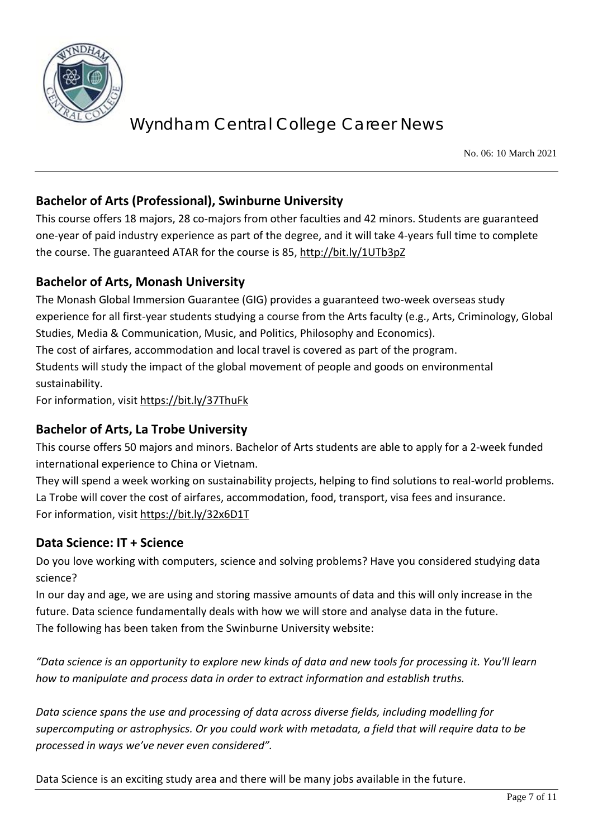

No. 06: 10 March 2021

## **Bachelor of Arts (Professional), Swinburne University**

This course offers 18 majors, 28 co-majors from other faculties and 42 minors. Students are guaranteed one-year of paid industry experience as part of the degree, and it will take 4-years full time to complete the course. The guaranteed ATAR for the course is 85,<http://bit.ly/1UTb3pZ>

### **Bachelor of Arts, Monash University**

The Monash Global Immersion Guarantee (GIG) provides a guaranteed two-week overseas study experience for all first-year students studying a course from the Arts faculty (e.g., Arts, Criminology, Global Studies, Media & Communication, Music, and Politics, Philosophy and Economics). The cost of airfares, accommodation and local travel is covered as part of the program.

Students will study the impact of the global movement of people and goods on environmental sustainability.

For information, visit<https://bit.ly/37ThuFk>

## **Bachelor of Arts, La Trobe University**

This course offers 50 majors and minors. Bachelor of Arts students are able to apply for a 2-week funded international experience to China or Vietnam.

They will spend a week working on sustainability projects, helping to find solutions to real-world problems. La Trobe will cover the cost of airfares, accommodation, food, transport, visa fees and insurance. For information, visit<https://bit.ly/32x6D1T>

#### **Data Science: IT + Science**

Do you love working with computers, science and solving problems? Have you considered studying data science?

In our day and age, we are using and storing massive amounts of data and this will only increase in the future. Data science fundamentally deals with how we will store and analyse data in the future. The following has been taken from the Swinburne University website:

*"Data science is an opportunity to explore new kinds of data and new tools for processing it. You'll learn how to manipulate and process data in order to extract information and establish truths.* 

*Data science spans the use and processing of data across diverse fields, including modelling for supercomputing or astrophysics. Or you could work with metadata, a field that will require data to be processed in ways we've never even considered".* 

Data Science is an exciting study area and there will be many jobs available in the future.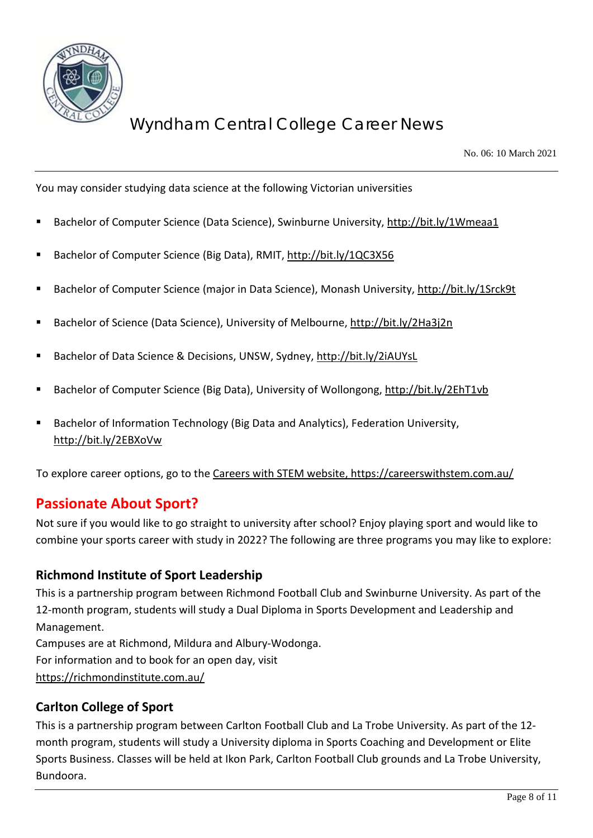

No. 06: 10 March 2021

You may consider studying data science at the following Victorian universities

- Bachelor of Computer Science (Data Science), Swinburne University[, http://bit.ly/1Wmeaa1](http://bit.ly/1Wmeaa1)
- Bachelor of Computer Science (Big Data), RMIT,<http://bit.ly/1QC3X56>
- Bachelor of Computer Science (major in Data Science), Monash University,<http://bit.ly/1Srck9t>
- Bachelor of Science (Data Science), University of Melbourne[, http://bit.ly/2Ha3j2n](http://bit.ly/2Ha3j2n)
- Bachelor of Data Science & Decisions, UNSW, Sydney,<http://bit.ly/2iAUYsL>
- Bachelor of Computer Science (Big Data), University of Wollongong,<http://bit.ly/2EhT1vb>
- Bachelor of Information Technology (Big Data and Analytics), Federation University, <http://bit.ly/2EBXoVw>

To explore career options, go to the Careers with STEM website,<https://careerswithstem.com.au/>

## **Passionate About Sport?**

Not sure if you would like to go straight to university after school? Enjoy playing sport and would like to combine your sports career with study in 2022? The following are three programs you may like to explore:

## **Richmond Institute of Sport Leadership**

This is a partnership program between Richmond Football Club and Swinburne University. As part of the 12-month program, students will study a Dual Diploma in Sports Development and Leadership and Management. Campuses are at Richmond, Mildura and Albury-Wodonga. For information and to book for an open day, visit

<https://richmondinstitute.com.au/>

## **Carlton College of Sport**

This is a partnership program between Carlton Football Club and La Trobe University. As part of the 12 month program, students will study a University diploma in Sports Coaching and Development or Elite Sports Business. Classes will be held at Ikon Park, Carlton Football Club grounds and La Trobe University, Bundoora.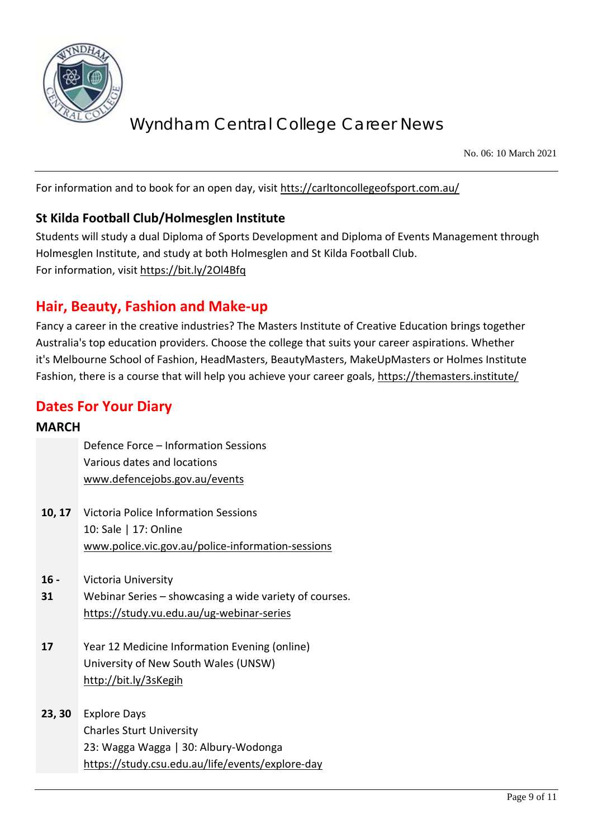

No. 06: 10 March 2021

For information and to book for an open day, visit [htts://carltoncollegeofsport.com.au/](https://carltoncollegeofsport.com.au/)

## **St Kilda Football Club/Holmesglen Institute**

Students will study a dual Diploma of Sports Development and Diploma of Events Management through Holmesglen Institute, and study at both Holmesglen and St Kilda Football Club. For information, visit<https://bit.ly/2Ol4Bfq>

## **Hair, Beauty, Fashion and Make-up**

Fancy a career in the creative industries? The Masters Institute of Creative Education brings together Australia's top education providers. Choose the college that suits your career aspirations. Whether it's Melbourne School of Fashion, HeadMasters, BeautyMasters, MakeUpMasters or Holmes Institute Fashion, there is a course that will help you achieve your career goals,<https://themasters.institute/>

## **Dates For Your Diary**

#### **MARCH**

|        | Defence Force - Information Sessions                   |
|--------|--------------------------------------------------------|
|        | Various dates and locations                            |
|        | www.defencejobs.gov.au/events                          |
|        |                                                        |
|        | <b>10, 17</b> Victoria Police Information Sessions     |
|        | 10: Sale   17: Online                                  |
|        | www.police.vic.gov.au/police-information-sessions      |
|        |                                                        |
| $16 -$ | Victoria University                                    |
| 31     | Webinar Series – showcasing a wide variety of courses. |
|        | https://study.vu.edu.au/ug-webinar-series              |
|        |                                                        |
| 17     | Year 12 Medicine Information Evening (online)          |
|        | University of New South Wales (UNSW)                   |
|        | http://bit.ly/3sKegih                                  |
|        |                                                        |
| 23, 30 | <b>Explore Days</b>                                    |
|        | <b>Charles Sturt University</b>                        |
|        | 23: Wagga Wagga   30: Albury-Wodonga                   |
|        | https://study.csu.edu.au/life/events/explore-day       |
|        |                                                        |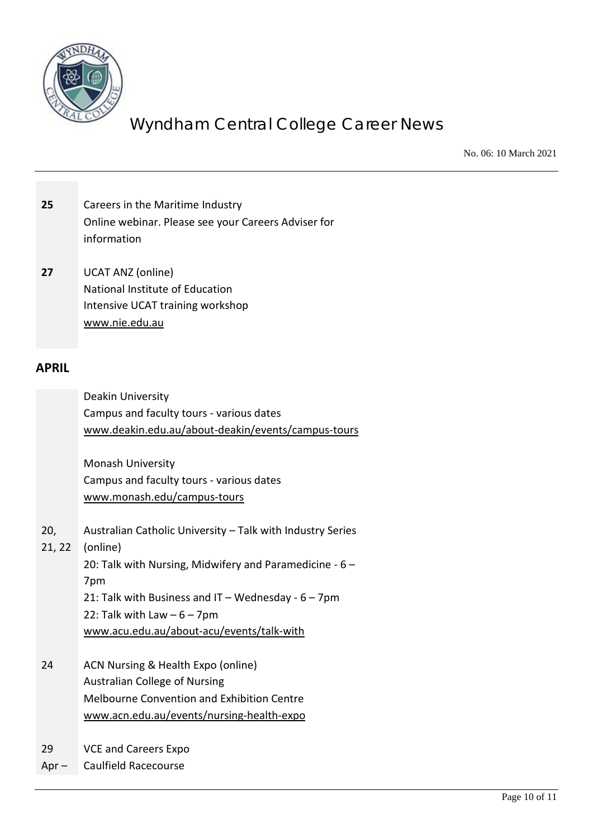

No. 06: 10 March 2021

| 25            | Careers in the Maritime Industry<br>Online webinar. Please see your Careers Adviser for<br>information                                                                                                                                                                                                                                                                                                                                                                                                           |
|---------------|------------------------------------------------------------------------------------------------------------------------------------------------------------------------------------------------------------------------------------------------------------------------------------------------------------------------------------------------------------------------------------------------------------------------------------------------------------------------------------------------------------------|
| 27            | <b>UCAT ANZ (online)</b><br>National Institute of Education<br><b>Intensive UCAT training workshop</b><br>www.nie.edu.au                                                                                                                                                                                                                                                                                                                                                                                         |
| <b>APRIL</b>  |                                                                                                                                                                                                                                                                                                                                                                                                                                                                                                                  |
| 20,<br>21, 22 | Deakin University<br>Campus and faculty tours - various dates<br>www.deakin.edu.au/about-deakin/events/campus-tours<br><b>Monash University</b><br>Campus and faculty tours - various dates<br>www.monash.edu/campus-tours<br>Australian Catholic University - Talk with Industry Series<br>(online)<br>20: Talk with Nursing, Midwifery and Paramedicine - $6 -$<br>7pm<br>21: Talk with Business and IT - Wednesday - $6 - 7$ pm<br>22: Talk with Law $-6 - 7$ pm<br>www.acu.edu.au/about-acu/events/talk-with |
| 24            | ACN Nursing & Health Expo (online)<br><b>Australian College of Nursing</b><br><b>Melbourne Convention and Exhibition Centre</b><br>www.acn.edu.au/events/nursing-health-expo                                                                                                                                                                                                                                                                                                                                     |
| 29            | <b>VCE and Careers Expo</b>                                                                                                                                                                                                                                                                                                                                                                                                                                                                                      |

Apr – Caulfield Racecourse